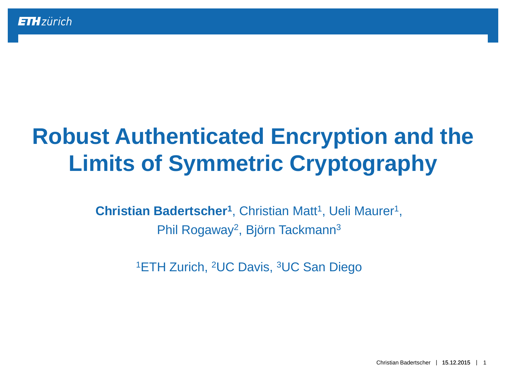# **Robust Authenticated Encryption and the Limits of Symmetric Cryptography**

Christian Badertscher<sup>1</sup>, Christian Matt<sup>1</sup>, Ueli Maurer<sup>1</sup>, Phil Rogaway<sup>2</sup>, Björn Tackmann<sup>3</sup>

<sup>1</sup>ETH Zurich, <sup>2</sup>UC Davis, <sup>3</sup>UC San Diego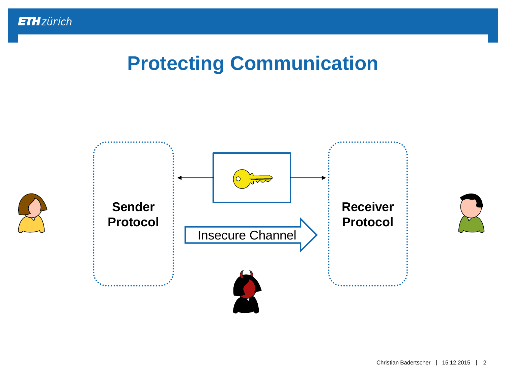

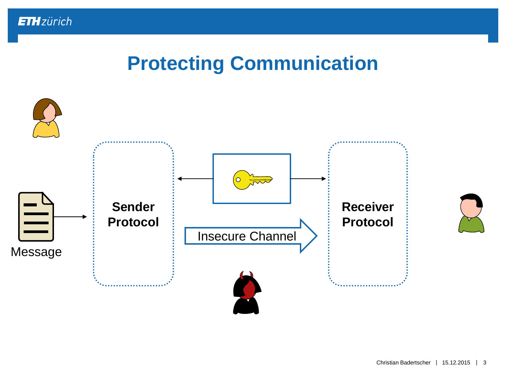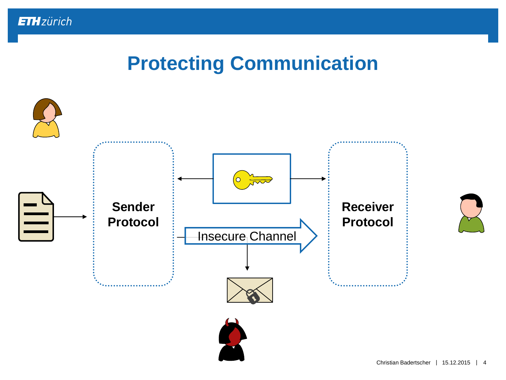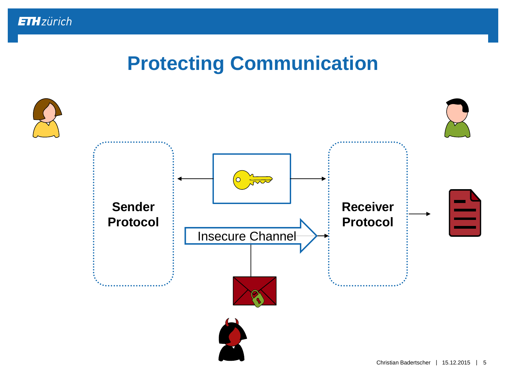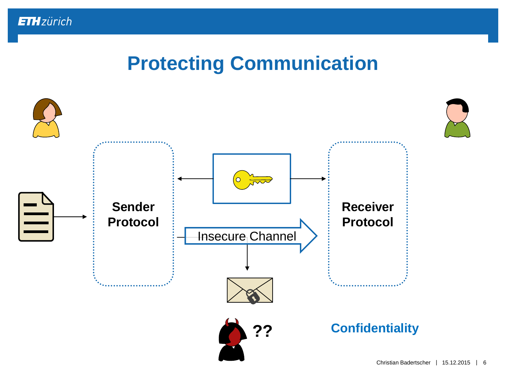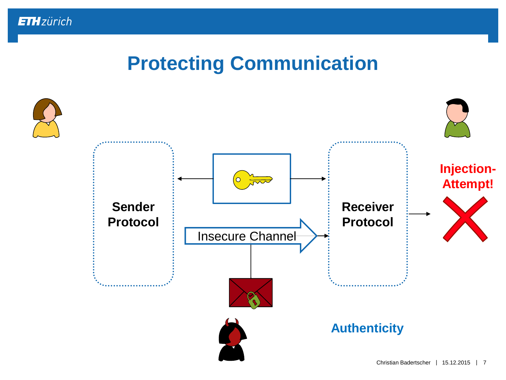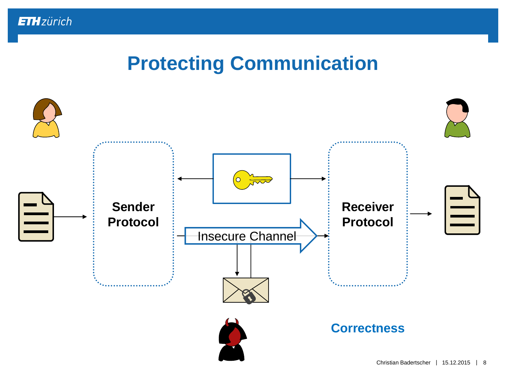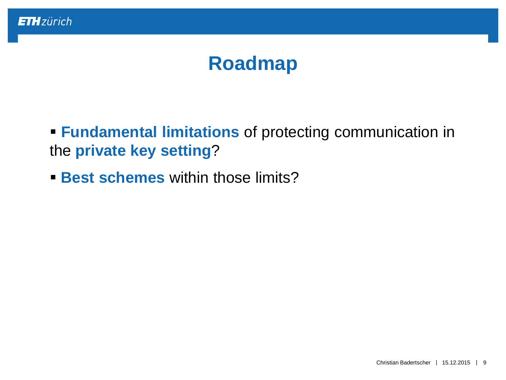### **Roadmap**

 **Fundamental limitations** of protecting communication in the **private key setting**?

**Best schemes** within those limits?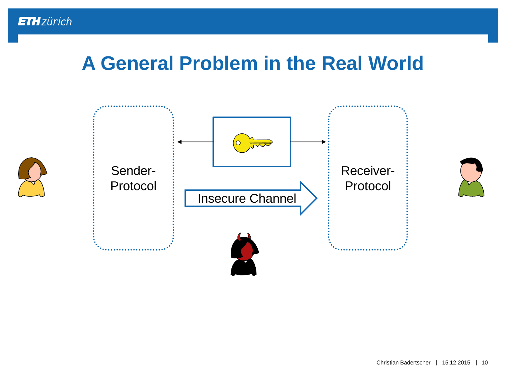



Christian Badertscher | 15.12.2015 | 10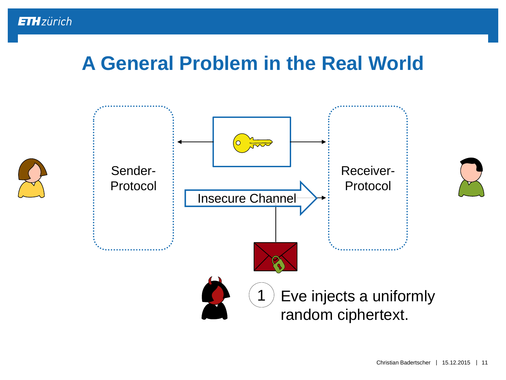



Christian Badertscher | 15.12.2015 | 11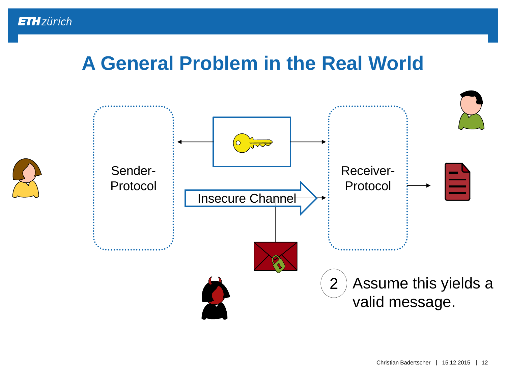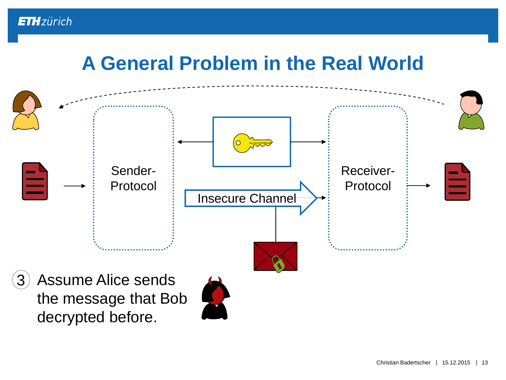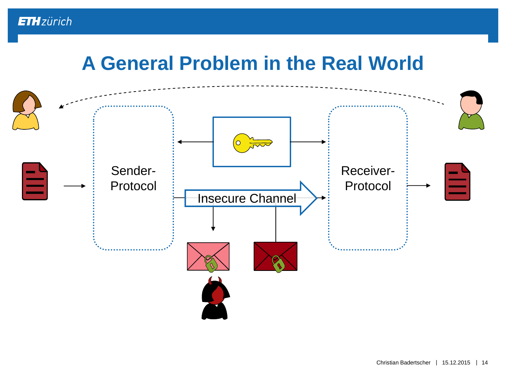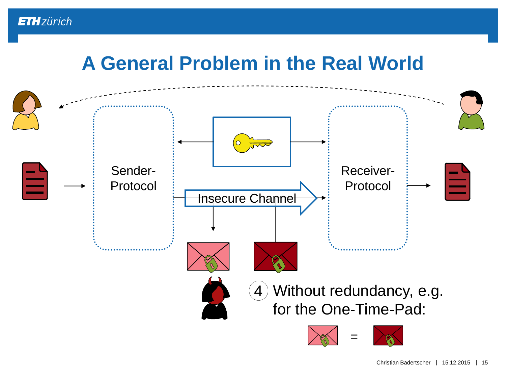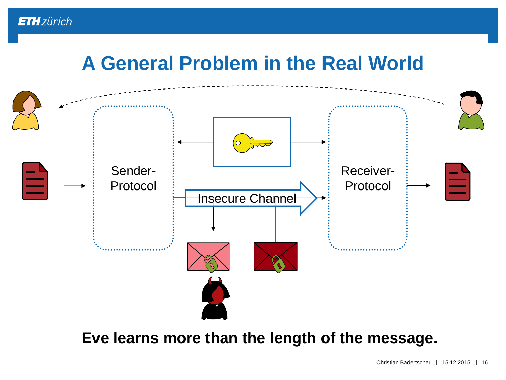

#### **Eve learns more than the length of the message.**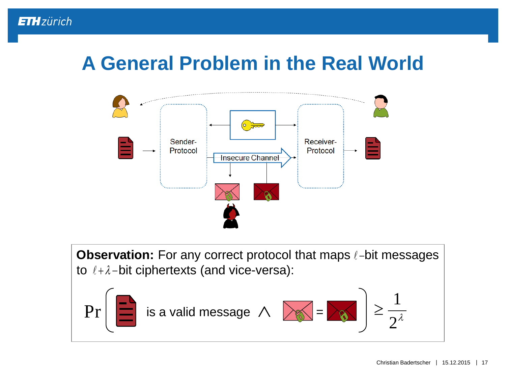

**Observation:** For any correct protocol that maps  $\ell$ -bit messages to  $\ell + \lambda$ -bit ciphertexts (and vice-versa):

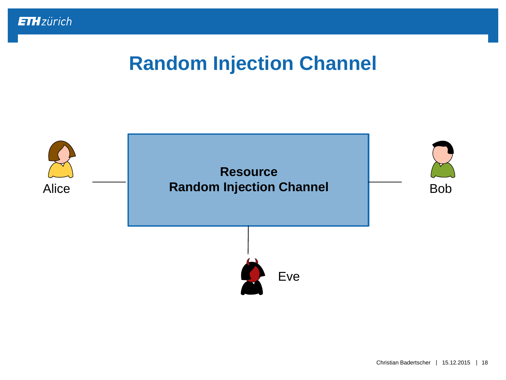

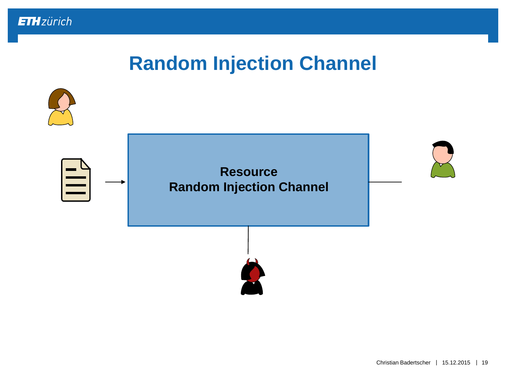

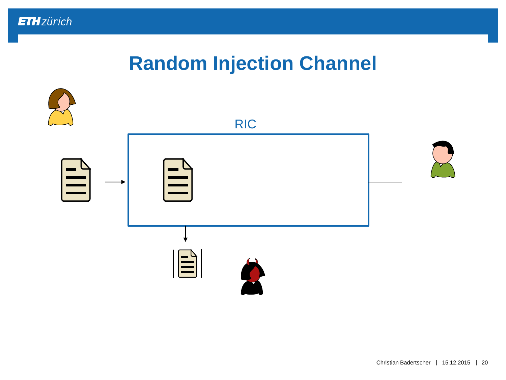

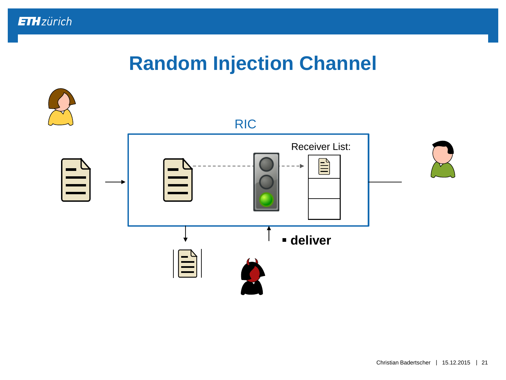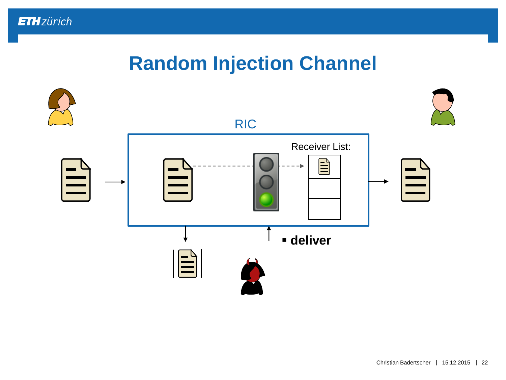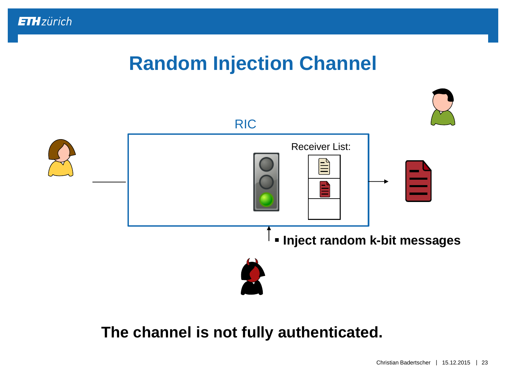# **Random Injection Channel**



#### **The channel is not fully authenticated.**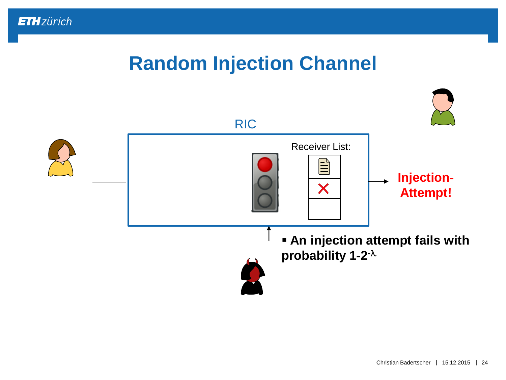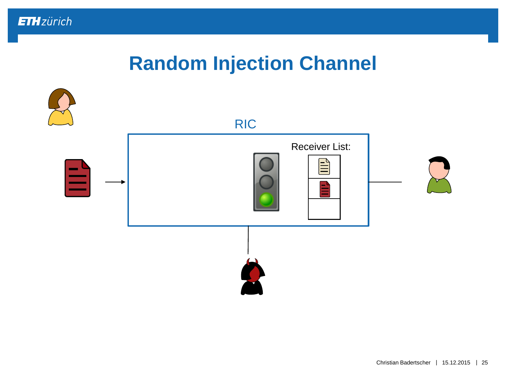

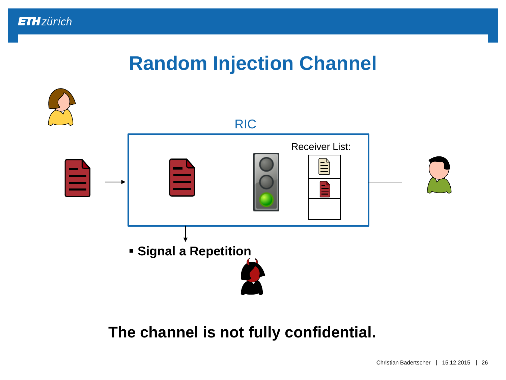

#### **The channel is not fully confidential.**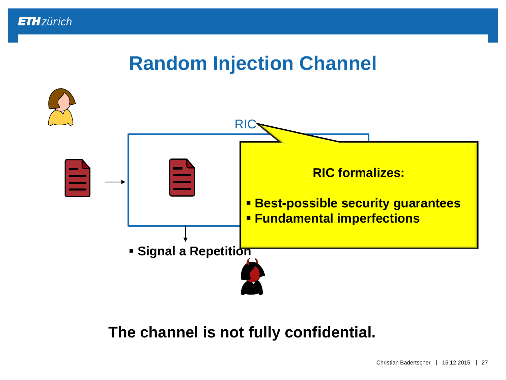

#### **The channel is not fully confidential.**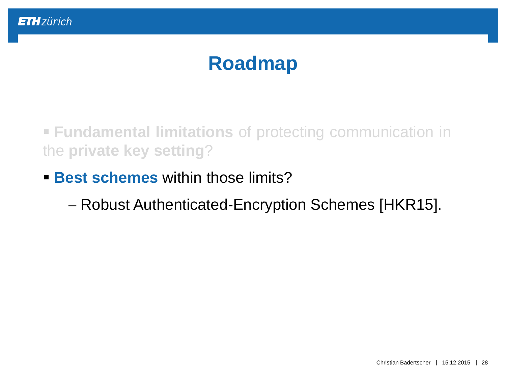# **Roadmap**

 **Fundamental limitations** of protecting communication in the **private key setting**?

**Best schemes** within those limits?

Robust Authenticated-Encryption Schemes [HKR15].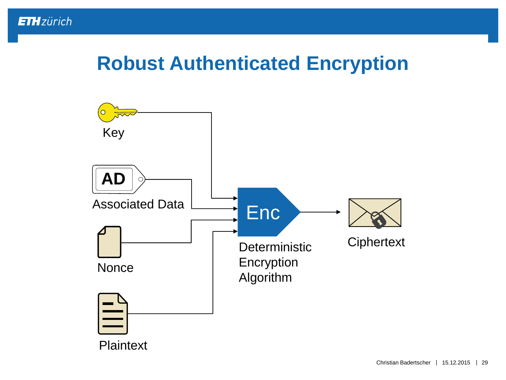# **Robust Authenticated Encryption**

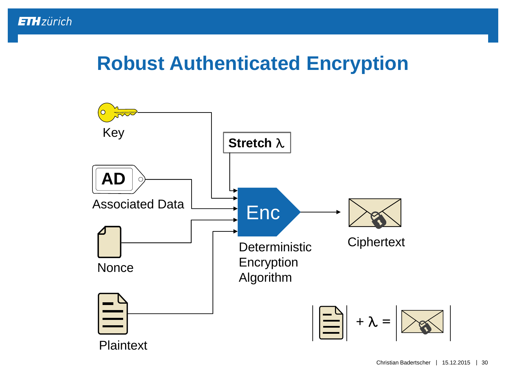### **Robust Authenticated Encryption**

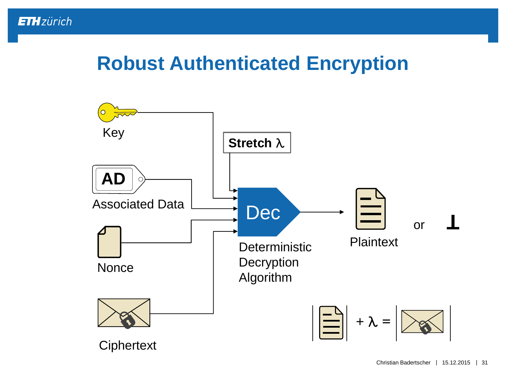### **Robust Authenticated Encryption**

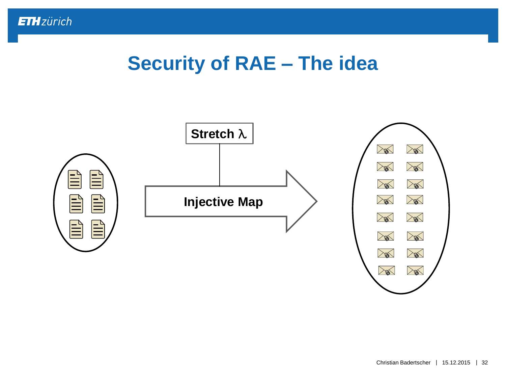### **Security of RAE – The idea**

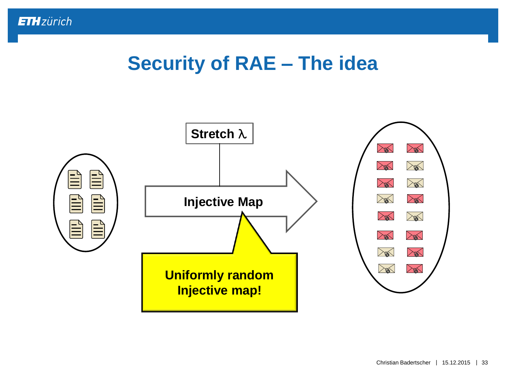### **Security of RAE – The idea**

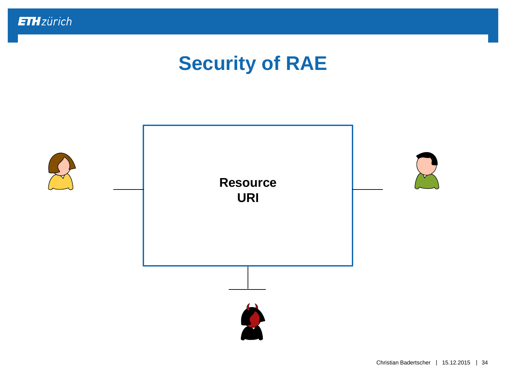

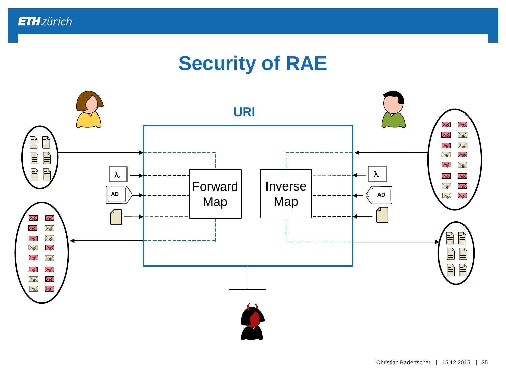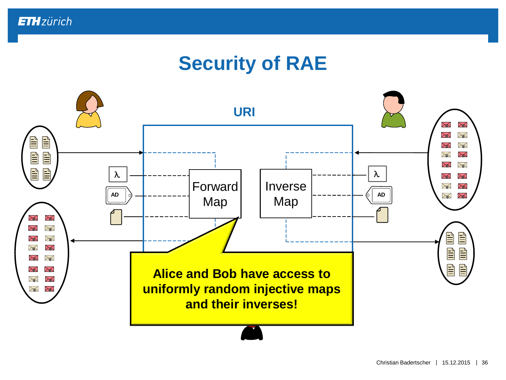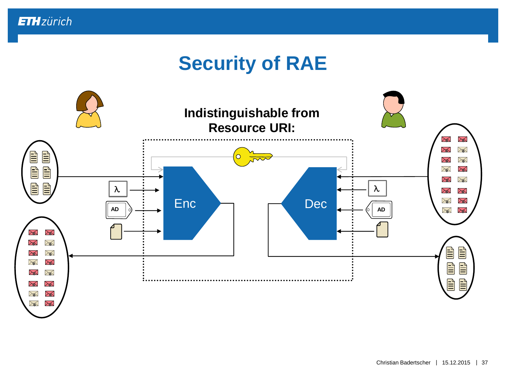

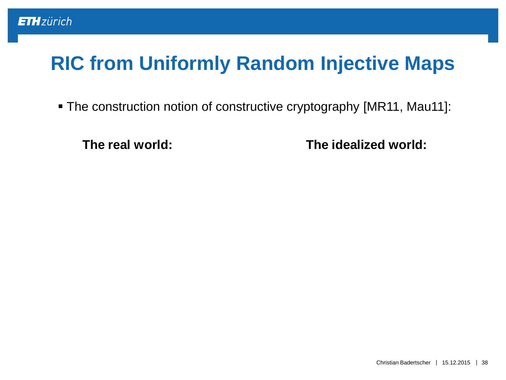The construction notion of constructive cryptography [MR11, Mau11]:

**The real world: The idealized world:**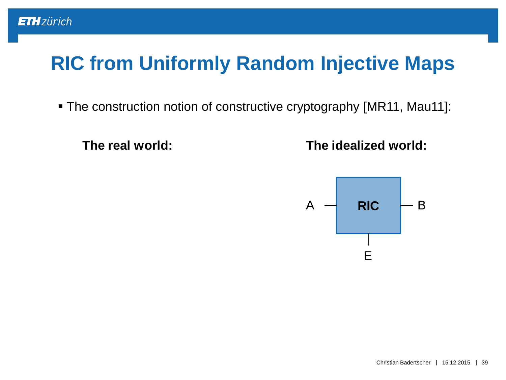The construction notion of constructive cryptography [MR11, Mau11]:

**The real world:**

**The idealized world:**

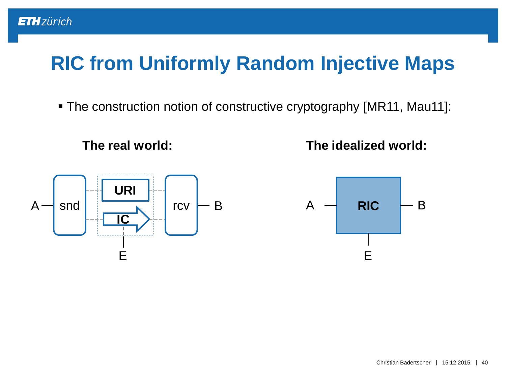The construction notion of constructive cryptography [MR11, Mau11]:

**The real world:**

**ETH**zürich

**The idealized world:**



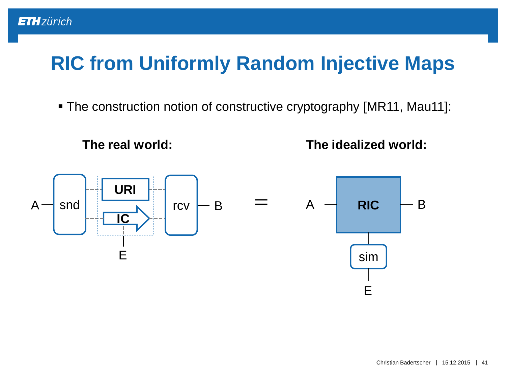The construction notion of constructive cryptography [MR11, Mau11]:

**The real world:**

**ETH**zürich

**The idealized world:**

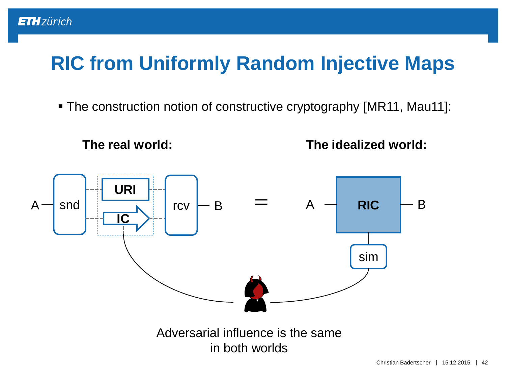The construction notion of constructive cryptography [MR11, Mau11]:



**ETH**zürich

**The idealized world:**

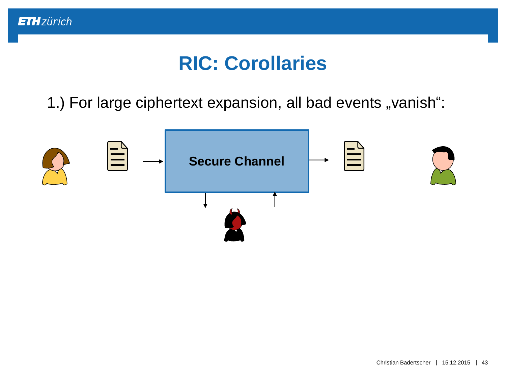

### **RIC: Corollaries**

1.) For large ciphertext expansion, all bad events "vanish":

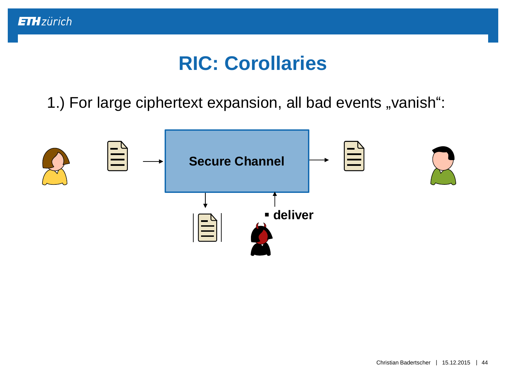

### **RIC: Corollaries**

1.) For large ciphertext expansion, all bad events "vanish":

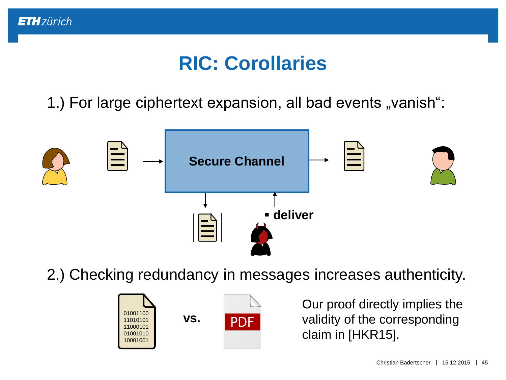

# **RIC: Corollaries**

1.) For large ciphertext expansion, all bad events "vanish":



2.) Checking redundancy in messages increases authenticity.



Our proof directly implies the validity of the corresponding claim in [HKR15].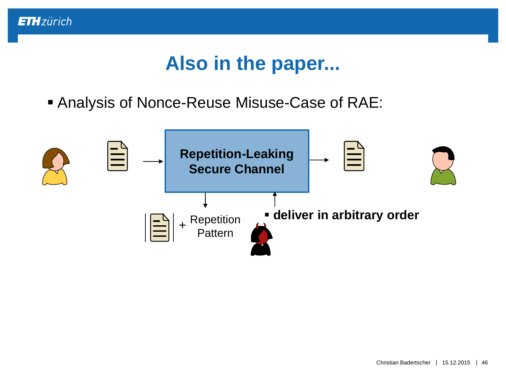

# **Also in the paper...**

Analysis of Nonce-Reuse Misuse-Case of RAE:

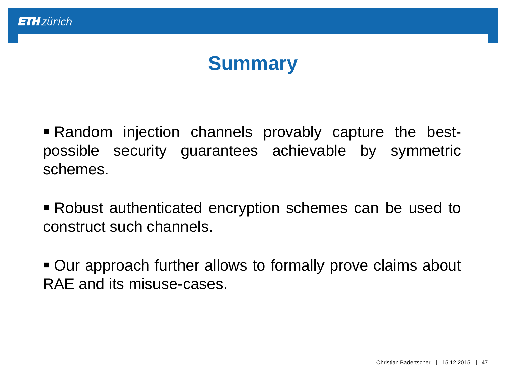# **Summary**

 Random injection channels provably capture the bestpossible security guarantees achievable by symmetric schemes.

 Robust authenticated encryption schemes can be used to construct such channels.

 Our approach further allows to formally prove claims about RAE and its misuse-cases.